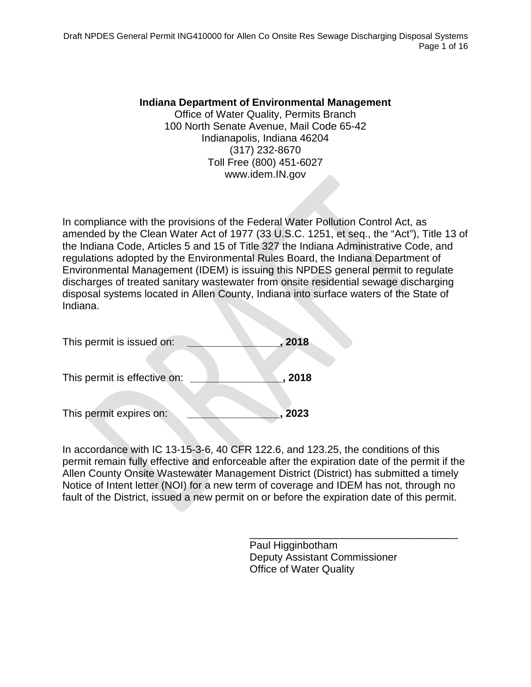Draft NPDES General Permit ING410000 for Allen Co Onsite Res Sewage Discharging Disposal Systems Page 1 of 16

#### **Indiana Department of Environmental Management**

Office of Water Quality, Permits Branch 100 North Senate Avenue, Mail Code 65-42 Indianapolis, Indiana 46204 (317) 232-8670 Toll Free (800) 451-6027 www.idem.IN.gov

In compliance with the provisions of the Federal Water Pollution Control Act, as amended by the Clean Water Act of 1977 [\(33 U.S.C. 1251,](http://www4.law.cornell.edu/uscode/33/1251.html) et seq., the "Act"), Title 13 of the Indiana Code, Articles 5 and 15 of Title 327 the Indiana Administrative Code, and regulations adopted by the Environmental Rules Board, the Indiana Department of Environmental Management (IDEM) is issuing this NPDES general permit to regulate discharges of treated sanitary wastewater from onsite residential sewage discharging disposal systems located in Allen County, Indiana into surface waters of the State of Indiana.

| This permit is issued on:    | 2018 |
|------------------------------|------|
| This permit is effective on: | 2018 |
| This permit expires on:      | 2023 |

In accordance with IC 13-15-3-6, 40 CFR 122.6, and 123.25, the conditions of this permit remain fully effective and enforceable after the expiration date of the permit if the Allen County Onsite Wastewater Management District (District) has submitted a timely Notice of Intent letter (NOI) for a new term of coverage and IDEM has not, through no fault of the District, issued a new permit on or before the expiration date of this permit.

> Paul Higginbotham Deputy Assistant Commissioner Office of Water Quality

\_\_\_\_\_\_\_\_\_\_\_\_\_\_\_\_\_\_\_\_\_\_\_\_\_\_\_\_\_\_\_\_\_\_\_\_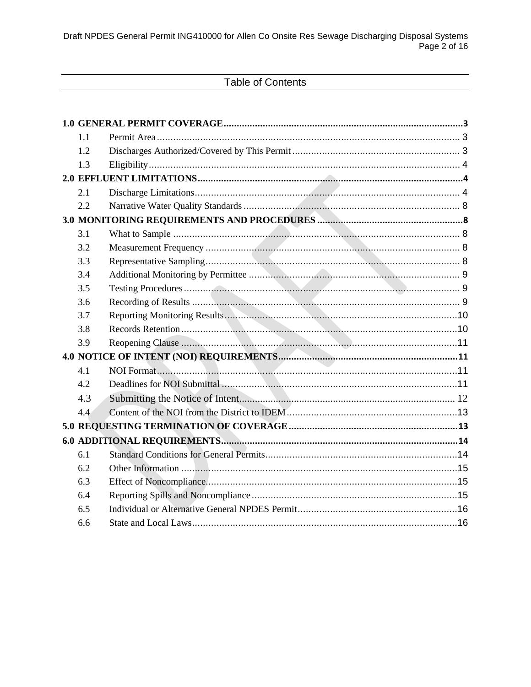# **Table of Contents**

| 1.1 |               |  |
|-----|---------------|--|
| 1.2 |               |  |
| 1.3 |               |  |
|     |               |  |
| 2.1 |               |  |
| 2.2 |               |  |
|     |               |  |
| 3.1 |               |  |
| 3.2 |               |  |
| 3.3 |               |  |
| 3.4 |               |  |
| 3.5 |               |  |
| 3.6 |               |  |
| 3.7 |               |  |
| 3.8 |               |  |
| 3.9 |               |  |
|     |               |  |
| 4.1 | NOI Format 11 |  |
| 4.2 |               |  |
| 4.3 |               |  |
| 4.4 |               |  |
|     |               |  |
|     |               |  |
| 6.1 |               |  |
| 6.2 |               |  |
| 6.3 |               |  |
| 6.4 |               |  |
| 6.5 |               |  |
| 6.6 |               |  |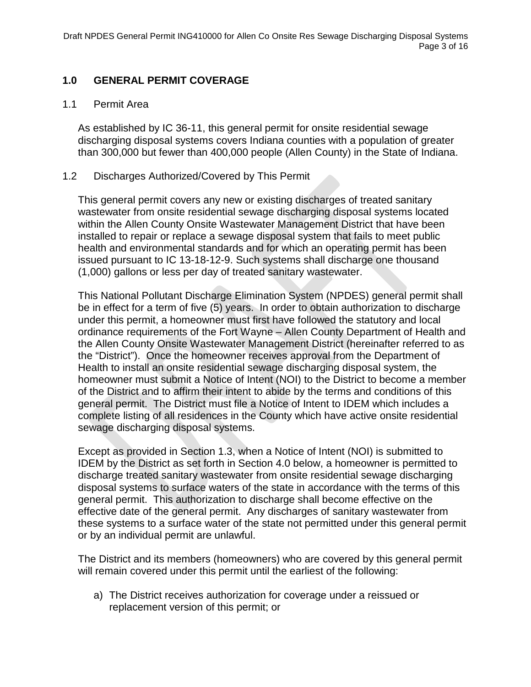## <span id="page-2-0"></span>**1.0 GENERAL PERMIT COVERAGE**

#### <span id="page-2-1"></span>1.1 Permit Area

As established by IC 36-11, this general permit for onsite residential sewage discharging disposal systems covers Indiana counties with a population of greater than 300,000 but fewer than 400,000 people (Allen County) in the State of Indiana.

#### <span id="page-2-2"></span>1.2 Discharges Authorized/Covered by This Permit

This general permit covers any new or existing discharges of treated sanitary wastewater from onsite residential sewage discharging disposal systems located within the Allen County Onsite Wastewater Management District that have been installed to repair or replace a sewage disposal system that fails to meet public health and environmental standards and for which an operating permit has been issued pursuant to IC 13-18-12-9. Such systems shall discharge one thousand (1,000) gallons or less per day of treated sanitary wastewater.

This National Pollutant Discharge Elimination System (NPDES) general permit shall be in effect for a term of five (5) years. In order to obtain authorization to discharge under this permit, a homeowner must first have followed the statutory and local ordinance requirements of the Fort Wayne – Allen County Department of Health and the Allen County Onsite Wastewater Management District (hereinafter referred to as the "District"). Once the homeowner receives approval from the Department of Health to install an onsite residential sewage discharging disposal system, the homeowner must submit a Notice of Intent (NOI) to the District to become a member of the District and to affirm their intent to abide by the terms and conditions of this general permit. The District must file a Notice of Intent to IDEM which includes a complete listing of all residences in the County which have active onsite residential sewage discharging disposal systems.

Except as provided in Section 1.3, when a Notice of Intent (NOI) is submitted to IDEM by the District as set forth in Section 4.0 below, a homeowner is permitted to discharge treated sanitary wastewater from onsite residential sewage discharging disposal systems to surface waters of the state in accordance with the terms of this general permit. This authorization to discharge shall become effective on the effective date of the general permit. Any discharges of sanitary wastewater from these systems to a surface water of the state not permitted under this general permit or by an individual permit are unlawful.

The District and its members (homeowners) who are covered by this general permit will remain covered under this permit until the earliest of the following:

a) The District receives authorization for coverage under a reissued or replacement version of this permit; or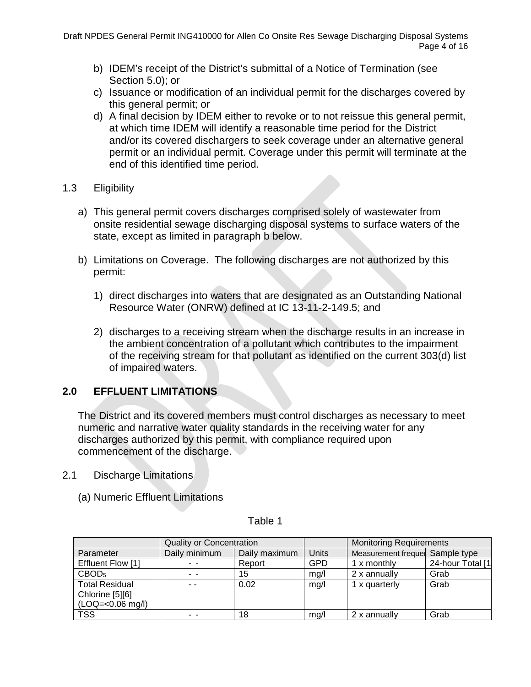- b) IDEM's receipt of the District's submittal of a Notice of Termination (see Section 5.0); or
- c) Issuance or modification of an individual permit for the discharges covered by this general permit; or
- d) A final decision by IDEM either to revoke or to not reissue this general permit, at which time IDEM will identify a reasonable time period for the District and/or its covered dischargers to seek coverage under an alternative general permit or an individual permit. Coverage under this permit will terminate at the end of this identified time period.
- <span id="page-3-0"></span>1.3 Eligibility
	- a) This general permit covers discharges comprised solely of wastewater from onsite residential sewage discharging disposal systems to surface waters of the state, except as limited in paragraph b below.
	- b) Limitations on Coverage. The following discharges are not authorized by this permit:
		- 1) direct discharges into waters that are designated as an Outstanding National Resource Water (ONRW) defined at IC 13-11-2-149.5; and
		- 2) discharges to a receiving stream when the discharge results in an increase in the ambient concentration of a pollutant which contributes to the impairment of the receiving stream for that pollutant as identified on the current 303(d) list of impaired waters.

## <span id="page-3-1"></span>**2.0 EFFLUENT LIMITATIONS**

The District and its covered members must control discharges as necessary to meet numeric and narrative water quality standards in the receiving water for any discharges authorized by this permit, with compliance required upon commencement of the discharge.

- <span id="page-3-2"></span>2.1 Discharge Limitations
	- (a) Numeric Effluent Limitations

|                       | <b>Quality or Concentration</b> |               |            | <b>Monitoring Requirements</b>  |                   |  |  |
|-----------------------|---------------------------------|---------------|------------|---------------------------------|-------------------|--|--|
| Parameter             | Daily minimum                   | Daily maximum | Units      | Measurement frequel Sample type |                   |  |  |
| Effluent Flow [1]     |                                 | Report        | <b>GPD</b> | 1 x monthly                     | 24-hour Total [1] |  |  |
| CBOD <sub>5</sub>     | $\sim$ $\sim$                   | 15            | mq/l       | 2 x annually                    | Grab              |  |  |
| <b>Total Residual</b> |                                 | 0.02          | mg/l       | 1 x quarterly                   | Grab              |  |  |
| Chlorine [5][6]       |                                 |               |            |                                 |                   |  |  |
| (LOQ=<0.06 mg/l)      |                                 |               |            |                                 |                   |  |  |
| <b>TSS</b>            |                                 | 18            | mg/l       | 2 x annually                    | Grab              |  |  |

#### Table 1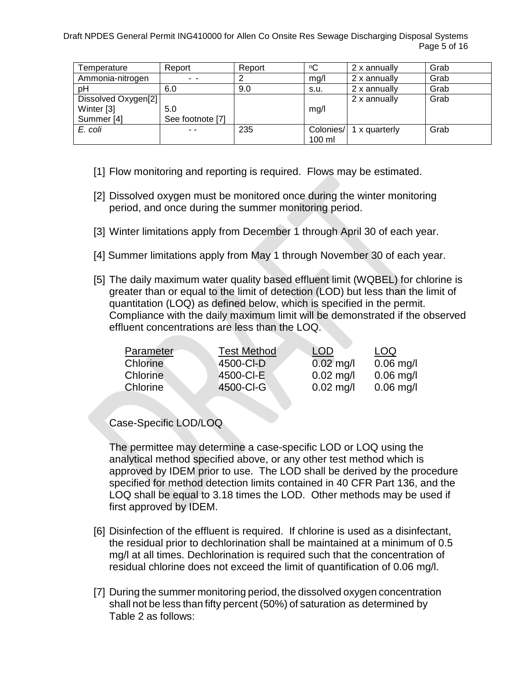Draft NPDES General Permit ING410000 for Allen Co Onsite Res Sewage Discharging Disposal Systems Page 5 of 16

| Temperature         | Report           | Report | ∘C        | 2 x annually  | Grab |
|---------------------|------------------|--------|-----------|---------------|------|
| Ammonia-nitrogen    | - -              |        | mg/l      | 2 x annually  | Grab |
| рH                  | 6.0              | 9.0    | s.u.      | 2 x annually  | Grab |
| Dissolved Oxygen[2] |                  |        |           | 2 x annually  | Grab |
| Winter [3]          | 5.0              |        | mg/l      |               |      |
| Summer [4]          | See footnote [7] |        |           |               |      |
| E. coli             | - -              | 235    | Colonies/ | 1 x quarterly | Grab |
|                     |                  |        | 100 ml    |               |      |

- [1] Flow monitoring and reporting is required. Flows may be estimated.
- [2] Dissolved oxygen must be monitored once during the winter monitoring period, and once during the summer monitoring period.
- [3] Winter limitations apply from December 1 through April 30 of each year.
- [4] Summer limitations apply from May 1 through November 30 of each year.
- [5] The daily maximum water quality based effluent limit (WQBEL) for chlorine is greater than or equal to the limit of detection (LOD) but less than the limit of quantitation (LOQ) as defined below, which is specified in the permit. Compliance with the daily maximum limit will be demonstrated if the observed effluent concentrations are less than the LOQ.

| <b>Test Method</b> | <b>LOD</b>  | LOQ         |
|--------------------|-------------|-------------|
| 4500-CI-D          | $0.02$ mg/l | $0.06$ mg/l |
| 4500-CI-E          | $0.02$ mg/l | $0.06$ mg/l |
| 4500-CI-G          | $0.02$ mg/l | $0.06$ mg/l |
|                    |             |             |

Case-Specific LOD/LOQ

The permittee may determine a case-specific LOD or LOQ using the analytical method specified above, or any other test method which is approved by IDEM prior to use. The LOD shall be derived by the procedure specified for method detection limits contained in 40 CFR Part 136, and the LOQ shall be equal to 3.18 times the LOD. Other methods may be used if first approved by IDEM.

- [6] Disinfection of the effluent is required. If chlorine is used as a disinfectant, the residual prior to dechlorination shall be maintained at a minimum of 0.5 mg/l at all times. Dechlorination is required such that the concentration of residual chlorine does not exceed the limit of quantification of 0.06 mg/l.
- [7] During the summer monitoring period, the dissolved oxygen concentration shall not be less than fifty percent (50%) of saturation as determined by Table 2 as follows: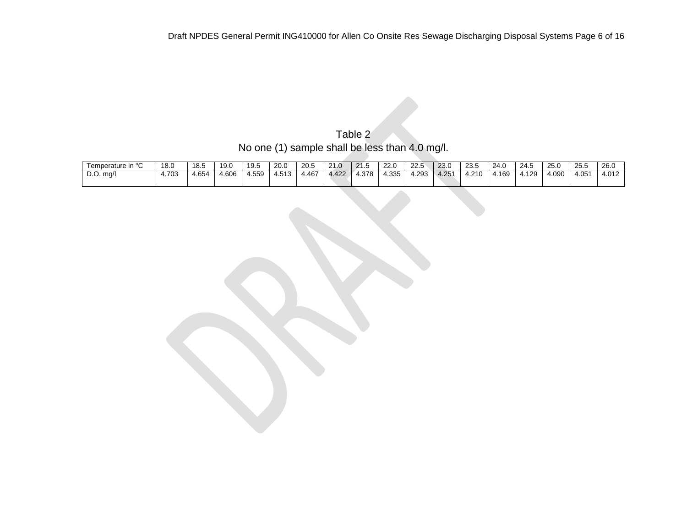Table 2 No one (1) sample shall be less than 4.0 mg/l.

| $\blacksquare$ remperature in $\Omega$ | 18.0  | 18.5  | 19.0  | 19.5   | 20.0  | 20.5  | $\mathcal{L}$<br>21.0    | $\mathbf{a}$<br>- 11<br>- | 220<br>ZZ.U | $\sim$ $\sim$<br>22.J | 23.0              | $\sim$ $\sim$<br>د.ب | 24.0      | 24.5 | 25.0 | つら ら<br>د.ب | 26.0  |
|----------------------------------------|-------|-------|-------|--------|-------|-------|--------------------------|---------------------------|-------------|-----------------------|-------------------|----------------------|-----------|------|------|-------------|-------|
| $D.O.$ ma/l                            | 4.703 | 4.654 | 4.606 | 955، ⊦ | 4.513 | 4.467 | 100<br>4.42 <sub>4</sub> | 4.378                     | 4.335       | .293                  | 4.25 <sup>1</sup> | 210                  | .169<br>- | .129 | 090، | 4.05''      | 4.012 |
|                                        |       |       |       |        |       |       |                          |                           |             |                       |                   |                      |           |      |      |             |       |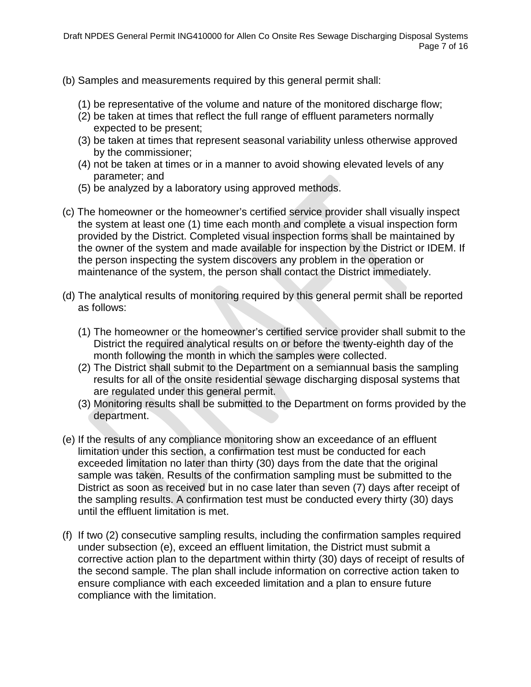- (b) Samples and measurements required by this general permit shall:
	- (1) be representative of the volume and nature of the monitored discharge flow;
	- (2) be taken at times that reflect the full range of effluent parameters normally expected to be present;
	- (3) be taken at times that represent seasonal variability unless otherwise approved by the commissioner;
	- (4) not be taken at times or in a manner to avoid showing elevated levels of any parameter; and
	- (5) be analyzed by a laboratory using approved methods.
- (c) The homeowner or the homeowner's certified service provider shall visually inspect the system at least one (1) time each month and complete a visual inspection form provided by the District. Completed visual inspection forms shall be maintained by the owner of the system and made available for inspection by the District or IDEM. If the person inspecting the system discovers any problem in the operation or maintenance of the system, the person shall contact the District immediately.
- (d) The analytical results of monitoring required by this general permit shall be reported as follows:
	- (1) The homeowner or the homeowner's certified service provider shall submit to the District the required analytical results on or before the twenty-eighth day of the month following the month in which the samples were collected.
	- (2) The District shall submit to the Department on a semiannual basis the sampling results for all of the onsite residential sewage discharging disposal systems that are regulated under this general permit.
	- (3) Monitoring results shall be submitted to the Department on forms provided by the department.
- (e) If the results of any compliance monitoring show an exceedance of an effluent limitation under this section, a confirmation test must be conducted for each exceeded limitation no later than thirty (30) days from the date that the original sample was taken. Results of the confirmation sampling must be submitted to the District as soon as received but in no case later than seven (7) days after receipt of the sampling results. A confirmation test must be conducted every thirty (30) days until the effluent limitation is met.
- (f) If two (2) consecutive sampling results, including the confirmation samples required under subsection (e), exceed an effluent limitation, the District must submit a corrective action plan to the department within thirty (30) days of receipt of results of the second sample. The plan shall include information on corrective action taken to ensure compliance with each exceeded limitation and a plan to ensure future compliance with the limitation.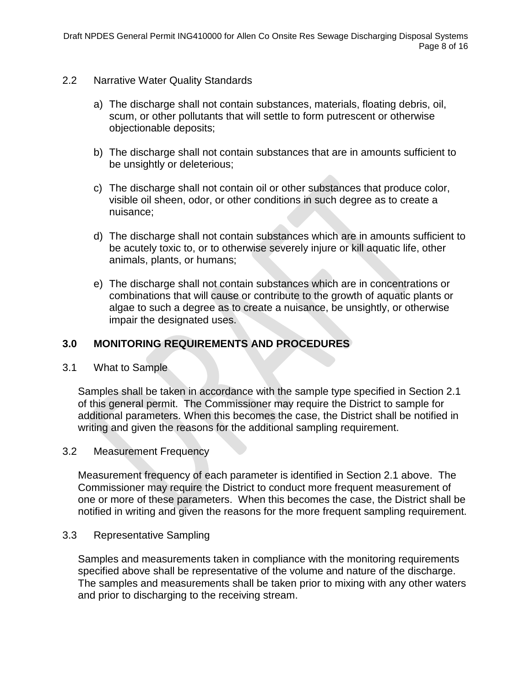- <span id="page-7-0"></span>2.2 Narrative Water Quality Standards
	- a) The discharge shall not contain substances, materials, floating debris, oil, scum, or other pollutants that will settle to form putrescent or otherwise objectionable deposits;
	- b) The discharge shall not contain substances that are in amounts sufficient to be unsightly or deleterious;
	- c) The discharge shall not contain oil or other substances that produce color, visible oil sheen, odor, or other conditions in such degree as to create a nuisance;
	- d) The discharge shall not contain substances which are in amounts sufficient to be acutely toxic to, or to otherwise severely injure or kill aquatic life, other animals, plants, or humans;
	- e) The discharge shall not contain substances which are in concentrations or combinations that will cause or contribute to the growth of aquatic plants or algae to such a degree as to create a nuisance, be unsightly, or otherwise impair the designated uses.

## <span id="page-7-1"></span>**3.0 MONITORING REQUIREMENTS AND PROCEDURES**

<span id="page-7-2"></span>3.1 What to Sample

Samples shall be taken in accordance with the sample type specified in Section 2.1 of this general permit. The Commissioner may require the District to sample for additional parameters. When this becomes the case, the District shall be notified in writing and given the reasons for the additional sampling requirement.

#### <span id="page-7-3"></span>3.2 Measurement Frequency

Measurement frequency of each parameter is identified in Section 2.1 above. The Commissioner may require the District to conduct more frequent measurement of one or more of these parameters. When this becomes the case, the District shall be notified in writing and given the reasons for the more frequent sampling requirement.

#### <span id="page-7-4"></span>3.3 Representative Sampling

Samples and measurements taken in compliance with the monitoring requirements specified above shall be representative of the volume and nature of the discharge. The samples and measurements shall be taken prior to mixing with any other waters and prior to discharging to the receiving stream.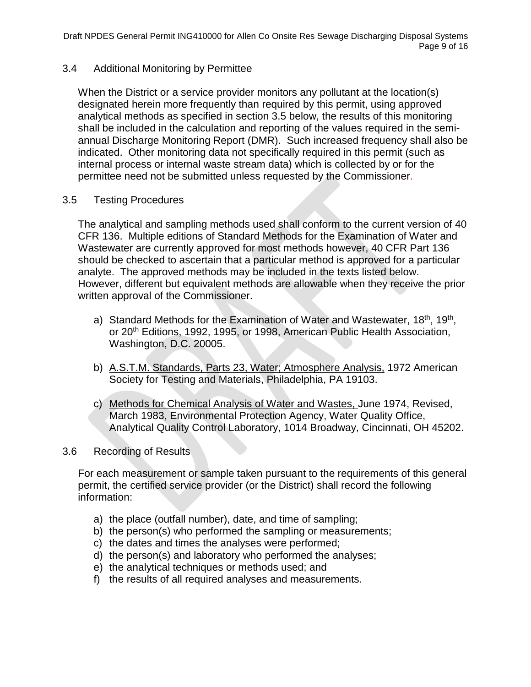### <span id="page-8-0"></span>3.4 Additional Monitoring by Permittee

When the District or a service provider monitors any pollutant at the location(s) designated herein more frequently than required by this permit, using approved analytical methods as specified in section 3.5 below, the results of this monitoring shall be included in the calculation and reporting of the values required in the semiannual Discharge Monitoring Report (DMR). Such increased frequency shall also be indicated. Other monitoring data not specifically required in this permit (such as internal process or internal waste stream data) which is collected by or for the permittee need not be submitted unless requested by the Commissioner.

### <span id="page-8-1"></span>3.5 Testing Procedures

The analytical and sampling methods used shall conform to the current version of 40 CFR 136. Multiple editions of Standard Methods for the Examination of Water and Wastewater are currently approved for most methods however, 40 CFR Part 136 should be checked to ascertain that a particular method is approved for a particular analyte. The approved methods may be included in the texts listed below. However, different but equivalent methods are allowable when they receive the prior written approval of the Commissioner.

- a) Standard Methods for the Examination of Water and Wastewater, 18<sup>th</sup>, 19<sup>th</sup>, or 20<sup>th</sup> Editions, 1992, 1995, or 1998, American Public Health Association, Washington, D.C. 20005.
- b) A.S.T.M. Standards, Parts 23, Water; Atmosphere Analysis, 1972 American Society for Testing and Materials, Philadelphia, PA 19103.
- c) Methods for Chemical Analysis of Water and Wastes, June 1974, Revised, March 1983, Environmental Protection Agency, Water Quality Office, Analytical Quality Control Laboratory, 1014 Broadway, Cincinnati, OH 45202.

#### <span id="page-8-2"></span>3.6 Recording of Results

For each measurement or sample taken pursuant to the requirements of this general permit, the certified service provider (or the District) shall record the following information:

- a) the place (outfall number), date, and time of sampling;
- b) the person(s) who performed the sampling or measurements;
- c) the dates and times the analyses were performed;
- d) the person(s) and laboratory who performed the analyses;
- e) the analytical techniques or methods used; and
- f) the results of all required analyses and measurements.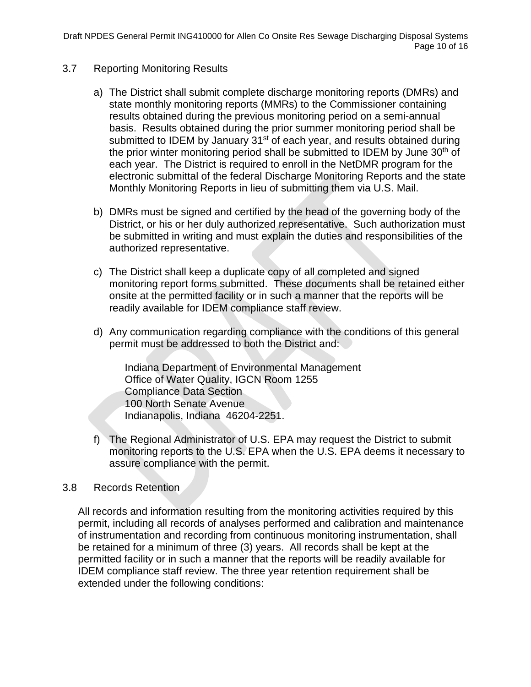Draft NPDES General Permit ING410000 for Allen Co Onsite Res Sewage Discharging Disposal Systems Page 10 of 16

- <span id="page-9-0"></span>3.7 Reporting Monitoring Results
	- a) The District shall submit complete discharge monitoring reports (DMRs) and state monthly monitoring reports (MMRs) to the Commissioner containing results obtained during the previous monitoring period on a semi-annual basis. Results obtained during the prior summer monitoring period shall be submitted to IDEM by January 31<sup>st</sup> of each year, and results obtained during the prior winter monitoring period shall be submitted to IDEM by June 30<sup>th</sup> of each year. The District is required to enroll in the NetDMR program for the electronic submittal of the federal Discharge Monitoring Reports and the state Monthly Monitoring Reports in lieu of submitting them via U.S. Mail.
	- b) DMRs must be signed and certified by the head of the governing body of the District, or his or her duly authorized representative. Such authorization must be submitted in writing and must explain the duties and responsibilities of the authorized representative.
	- c) The District shall keep a duplicate copy of all completed and signed monitoring report forms submitted. These documents shall be retained either onsite at the permitted facility or in such a manner that the reports will be readily available for IDEM compliance staff review.
	- d) Any communication regarding compliance with the conditions of this general permit must be addressed to both the District and:

Indiana Department of Environmental Management Office of Water Quality, IGCN Room 1255 Compliance Data Section 100 North Senate Avenue Indianapolis, Indiana 46204-2251.

f) The Regional Administrator of U.S. EPA may request the District to submit monitoring reports to the U.S. EPA when the U.S. EPA deems it necessary to assure compliance with the permit.

#### <span id="page-9-1"></span>3.8 Records Retention

All records and information resulting from the monitoring activities required by this permit, including all records of analyses performed and calibration and maintenance of instrumentation and recording from continuous monitoring instrumentation, shall be retained for a minimum of three (3) years. All records shall be kept at the permitted facility or in such a manner that the reports will be readily available for IDEM compliance staff review. The three year retention requirement shall be extended under the following conditions: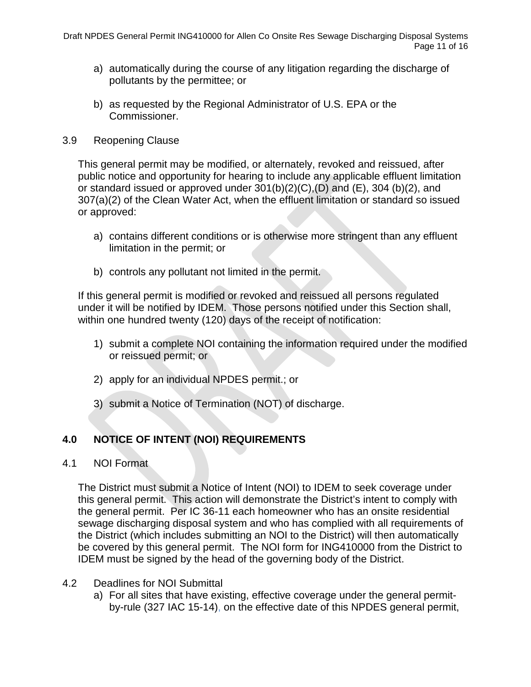- a) automatically during the course of any litigation regarding the discharge of pollutants by the permittee; or
- b) as requested by the Regional Administrator of U.S. EPA or the Commissioner.

#### <span id="page-10-0"></span>3.9 Reopening Clause

This general permit may be modified, or alternately, revoked and reissued, after public notice and opportunity for hearing to include any applicable effluent limitation or standard issued or approved under  $301(b)(2)(C)$ ,  $(D)$  and  $(E)$ ,  $304$   $(b)(2)$ , and 307(a)(2) of the Clean Water Act, when the effluent limitation or standard so issued or approved:

- a) contains different conditions or is otherwise more stringent than any effluent limitation in the permit; or
- b) controls any pollutant not limited in the permit.

If this general permit is modified or revoked and reissued all persons regulated under it will be notified by IDEM. Those persons notified under this Section shall, within one hundred twenty (120) days of the receipt of notification:

- 1) submit a complete NOI containing the information required under the modified or reissued permit; or
- 2) apply for an individual NPDES permit.; or
- 3) submit a Notice of Termination (NOT) of discharge.

## <span id="page-10-1"></span>**4.0 NOTICE OF INTENT (NOI) REQUIREMENTS**

<span id="page-10-2"></span>4.1 NOI Format

The District must submit a Notice of Intent (NOI) to IDEM to seek coverage under this general permit. This action will demonstrate the District's intent to comply with the general permit. Per IC 36-11 each homeowner who has an onsite residential sewage discharging disposal system and who has complied with all requirements of the District (which includes submitting an NOI to the District) will then automatically be covered by this general permit. The NOI form for ING410000 from the District to IDEM must be signed by the head of the governing body of the District.

- <span id="page-10-3"></span>4.2 Deadlines for NOI Submittal
	- a) For all sites that have existing, effective coverage under the general permitby-rule (327 IAC 15-14), on the effective date of this NPDES general permit,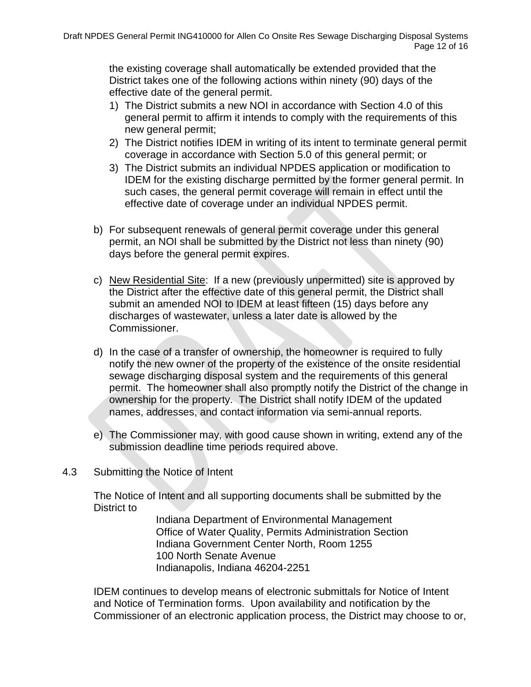the existing coverage shall automatically be extended provided that the District takes one of the following actions within ninety (90) days of the effective date of the general permit.

- 1) The District submits a new NOI in accordance with Section 4.0 of this general permit to affirm it intends to comply with the requirements of this new general permit;
- 2) The District notifies IDEM in writing of its intent to terminate general permit coverage in accordance with Section 5.0 of this general permit; or
- 3) The District submits an individual NPDES application or modification to IDEM for the existing discharge permitted by the former general permit. In such cases, the general permit coverage will remain in effect until the effective date of coverage under an individual NPDES permit.
- b) For subsequent renewals of general permit coverage under this general permit, an NOI shall be submitted by the District not less than ninety (90) days before the general permit expires.
- c) New Residential Site: If a new (previously unpermitted) site is approved by the District after the effective date of this general permit, the District shall submit an amended NOI to IDEM at least fifteen (15) days before any discharges of wastewater, unless a later date is allowed by the Commissioner.
- d) In the case of a transfer of ownership, the homeowner is required to fully notify the new owner of the property of the existence of the onsite residential sewage discharging disposal system and the requirements of this general permit. The homeowner shall also promptly notify the District of the change in ownership for the property. The District shall notify IDEM of the updated names, addresses, and contact information via semi-annual reports.
- e) The Commissioner may, with good cause shown in writing, extend any of the submission deadline time periods required above.
- <span id="page-11-0"></span>4.3 Submitting the Notice of Intent

The Notice of Intent and all supporting documents shall be submitted by the District to

> Indiana Department of Environmental Management Office of Water Quality, Permits Administration Section Indiana Government Center North, Room 1255 100 North Senate Avenue Indianapolis, Indiana 46204-2251

IDEM continues to develop means of electronic submittals for Notice of Intent and Notice of Termination forms. Upon availability and notification by the Commissioner of an electronic application process, the District may choose to or,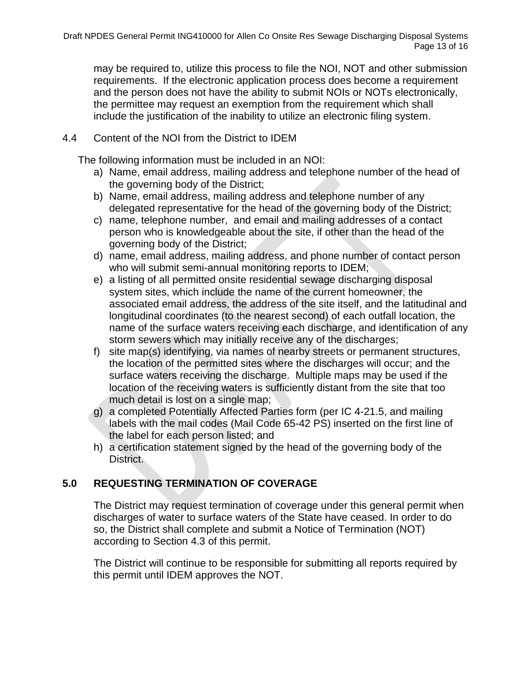may be required to, utilize this process to file the NOI, NOT and other submission requirements. If the electronic application process does become a requirement and the person does not have the ability to submit NOIs or NOTs electronically, the permittee may request an exemption from the requirement which shall include the justification of the inability to utilize an electronic filing system.

### <span id="page-12-0"></span>4.4 Content of the NOI from the District to IDEM

The following information must be included in an NOI:

- a) Name, email address, mailing address and telephone number of the head of the governing body of the District;
- b) Name, email address, mailing address and telephone number of any delegated representative for the head of the governing body of the District;
- c) name, telephone number, and email and mailing addresses of a contact person who is knowledgeable about the site, if other than the head of the governing body of the District;
- d) name, email address, mailing address, and phone number of contact person who will submit semi-annual monitoring reports to IDEM;
- e) a listing of all permitted onsite residential sewage discharging disposal system sites, which include the name of the current homeowner, the associated email address, the address of the site itself, and the latitudinal and longitudinal coordinates (to the nearest second) of each outfall location, the name of the surface waters receiving each discharge, and identification of any storm sewers which may initially receive any of the discharges;
- f) site map(s) identifying, via names of nearby streets or permanent structures, the location of the permitted sites where the discharges will occur; and the surface waters receiving the discharge. Multiple maps may be used if the location of the receiving waters is sufficiently distant from the site that too much detail is lost on a single map;
- g) a completed Potentially Affected Parties form (per IC 4-21.5, and mailing labels with the mail codes (Mail Code 65-42 PS) inserted on the first line of the label for each person listed; and
- h) a certification statement signed by the head of the governing body of the District.

## <span id="page-12-1"></span>**5.0 REQUESTING TERMINATION OF COVERAGE**

The District may request termination of coverage under this general permit when discharges of water to surface waters of the State have ceased. In order to do so, the District shall complete and submit a Notice of Termination (NOT) according to Section 4.3 of this permit.

The District will continue to be responsible for submitting all reports required by this permit until IDEM approves the NOT.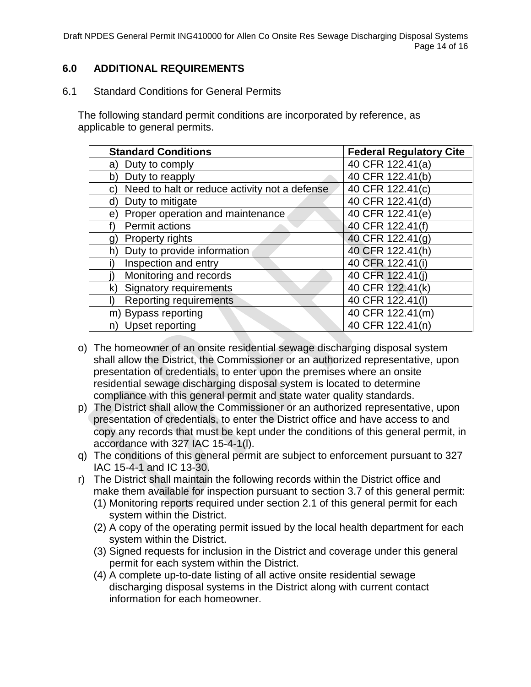Draft NPDES General Permit ING410000 for Allen Co Onsite Res Sewage Discharging Disposal Systems Page 14 of 16

### <span id="page-13-0"></span>**6.0 ADDITIONAL REQUIREMENTS**

<span id="page-13-1"></span>6.1 Standard Conditions for General Permits

The following standard permit conditions are incorporated by reference, as applicable to general permits.

| <b>Standard Conditions</b>                          | <b>Federal Regulatory Cite</b> |
|-----------------------------------------------------|--------------------------------|
| Duty to comply<br>a)                                | 40 CFR 122.41(a)               |
| Duty to reapply<br>b)                               | 40 CFR 122.41(b)               |
| Need to halt or reduce activity not a defense<br>C) | 40 CFR 122.41(c)               |
| Duty to mitigate<br>d)                              | 40 CFR 122.41(d)               |
| Proper operation and maintenance<br>e)              | 40 CFR 122.41(e)               |
| <b>Permit actions</b>                               | 40 CFR 122.41(f)               |
| Property rights<br>g)                               | 40 CFR 122.41(g)               |
| Duty to provide information<br>h'                   | 40 CFR 122.41(h)               |
| Inspection and entry                                | 40 CFR 122.41(i)               |
| Monitoring and records                              | 40 CFR 122.41(i)               |
| <b>Signatory requirements</b>                       | 40 CFR 122.41(k)               |
| Reporting requirements                              | 40 CFR 122.41(I)               |
| m) Bypass reporting                                 | 40 CFR 122.41(m)               |
| <b>Upset reporting</b><br>n)                        | 40 CFR 122.41(n)               |

- o) The homeowner of an onsite residential sewage discharging disposal system shall allow the District, the Commissioner or an authorized representative, upon presentation of credentials, to enter upon the premises where an onsite residential sewage discharging disposal system is located to determine compliance with this general permit and state water quality standards.
- p) The District shall allow the Commissioner or an authorized representative, upon presentation of credentials, to enter the District office and have access to and copy any records that must be kept under the conditions of this general permit, in accordance with 327 IAC 15-4-1(l).
- q) The conditions of this general permit are subject to enforcement pursuant to 327 IAC 15-4-1 and IC 13-30.
- r) The District shall maintain the following records within the District office and make them available for inspection pursuant to section 3.7 of this general permit:
	- (1) Monitoring reports required under section 2.1 of this general permit for each system within the District.
	- (2) A copy of the operating permit issued by the local health department for each system within the District.
	- (3) Signed requests for inclusion in the District and coverage under this general permit for each system within the District.
	- (4) A complete up-to-date listing of all active onsite residential sewage discharging disposal systems in the District along with current contact information for each homeowner.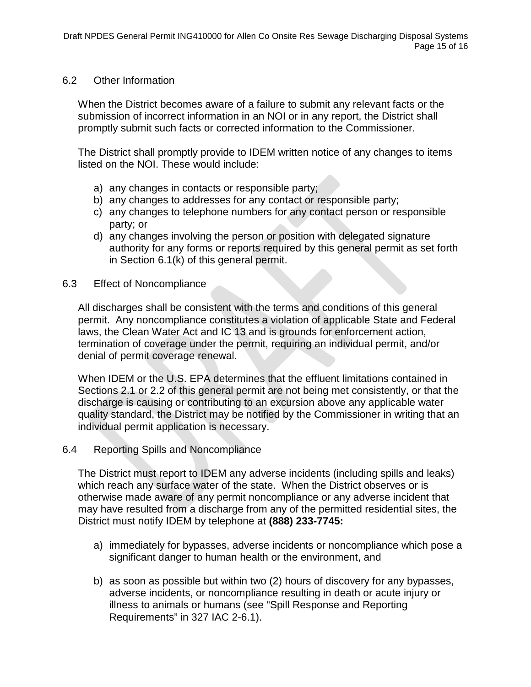#### <span id="page-14-0"></span>6.2 Other Information

When the District becomes aware of a failure to submit any relevant facts or the submission of incorrect information in an NOI or in any report, the District shall promptly submit such facts or corrected information to the Commissioner.

The District shall promptly provide to IDEM written notice of any changes to items listed on the NOI. These would include:

- a) any changes in contacts or responsible party;
- b) any changes to addresses for any contact or responsible party;
- c) any changes to telephone numbers for any contact person or responsible party; or
- d) any changes involving the person or position with delegated signature authority for any forms or reports required by this general permit as set forth in Section 6.1(k) of this general permit.
- <span id="page-14-1"></span>6.3 Effect of Noncompliance

All discharges shall be consistent with the terms and conditions of this general permit. Any noncompliance constitutes a violation of applicable State and Federal laws, the Clean Water Act and IC 13 and is grounds for enforcement action, termination of coverage under the permit, requiring an individual permit, and/or denial of permit coverage renewal.

When IDEM or the U.S. EPA determines that the effluent limitations contained in Sections 2.1 or 2.2 of this general permit are not being met consistently, or that the discharge is causing or contributing to an excursion above any applicable water quality standard, the District may be notified by the Commissioner in writing that an individual permit application is necessary.

<span id="page-14-2"></span>6.4 Reporting Spills and Noncompliance

The District must report to IDEM any adverse incidents (including spills and leaks) which reach any surface water of the state. When the District observes or is otherwise made aware of any permit noncompliance or any adverse incident that may have resulted from a discharge from any of the permitted residential sites, the District must notify IDEM by telephone at **(888) 233-7745:**

- a) immediately for bypasses, adverse incidents or noncompliance which pose a significant danger to human health or the environment, and
- b) as soon as possible but within two (2) hours of discovery for any bypasses, adverse incidents, or noncompliance resulting in death or acute injury or illness to animals or humans (see "Spill Response and Reporting Requirements" in 327 IAC 2-6.1).